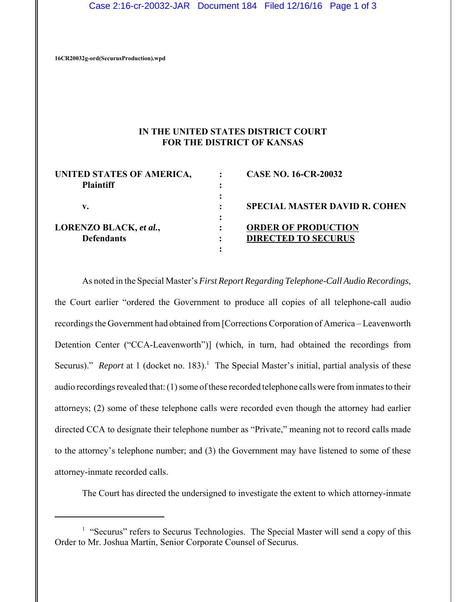**16CR20032g-ord(SecurusProduction).wpd**

## **IN THE UNITED STATES DISTRICT COURT FOR THE DISTRICT OF KANSAS**

| UNITED STATES OF AMERICA, | <b>CASE NO. 16-CR-20032</b>          |
|---------------------------|--------------------------------------|
| <b>Plaintiff</b>          |                                      |
|                           |                                      |
| v.                        | <b>SPECIAL MASTER DAVID R. COHEN</b> |
|                           |                                      |
| LORENZO BLACK, et al.,    | <b>ORDER OF PRODUCTION</b>           |
| <b>Defendants</b>         | <b>DIRECTED TO SECURUS</b>           |
|                           |                                      |

As noted in the Special Master's *First Report Regarding Telephone-Call Audio Recordings*, the Court earlier "ordered the Government to produce all copies of all telephone-call audio recordings the Government had obtained from [Corrections Corporation of America – Leavenworth Detention Center ("CCA-Leavenworth")] (which, in turn, had obtained the recordings from Securus)." *Report* at 1 (docket no. 183).<sup>1</sup> The Special Master's initial, partial analysis of these audio recordings revealed that: (1) some of these recorded telephone calls were from inmates to their attorneys; (2) some of these telephone calls were recorded even though the attorney had earlier directed CCA to designate their telephone number as "Private," meaning not to record calls made to the attorney's telephone number; and (3) the Government may have listened to some of these attorney-inmate recorded calls.

The Court has directed the undersigned to investigate the extent to which attorney-inmate

<sup>&</sup>lt;sup>1</sup> "Securus" refers to Securus Technologies. The Special Master will send a copy of this Order to Mr. Joshua Martin, Senior Corporate Counsel of Securus.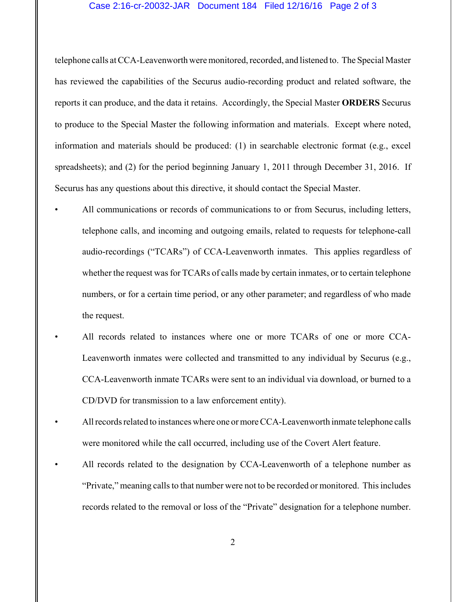## Case 2:16-cr-20032-JAR Document 184 Filed 12/16/16 Page 2 of 3

telephone calls at CCA-Leavenworth were monitored, recorded, and listened to. The Special Master has reviewed the capabilities of the Securus audio-recording product and related software, the reports it can produce, and the data it retains. Accordingly, the Special Master **ORDERS** Securus to produce to the Special Master the following information and materials. Except where noted, information and materials should be produced: (1) in searchable electronic format (e.g., excel spreadsheets); and (2) for the period beginning January 1, 2011 through December 31, 2016. If Securus has any questions about this directive, it should contact the Special Master.

- All communications or records of communications to or from Securus, including letters, telephone calls, and incoming and outgoing emails, related to requests for telephone-call audio-recordings ("TCARs") of CCA-Leavenworth inmates. This applies regardless of whether the request was for TCARs of calls made by certain inmates, or to certain telephone numbers, or for a certain time period, or any other parameter; and regardless of who made the request.
	- All records related to instances where one or more TCARs of one or more CCA-Leavenworth inmates were collected and transmitted to any individual by Securus (e.g., CCA-Leavenworth inmate TCARs were sent to an individual via download, or burned to a CD/DVD for transmission to a law enforcement entity).
- All records related to instances where one or more CCA-Leavenworth inmate telephone calls were monitored while the call occurred, including use of the Covert Alert feature.
	- All records related to the designation by CCA-Leavenworth of a telephone number as "Private," meaning calls to that number were not to be recorded or monitored. This includes records related to the removal or loss of the "Private" designation for a telephone number.